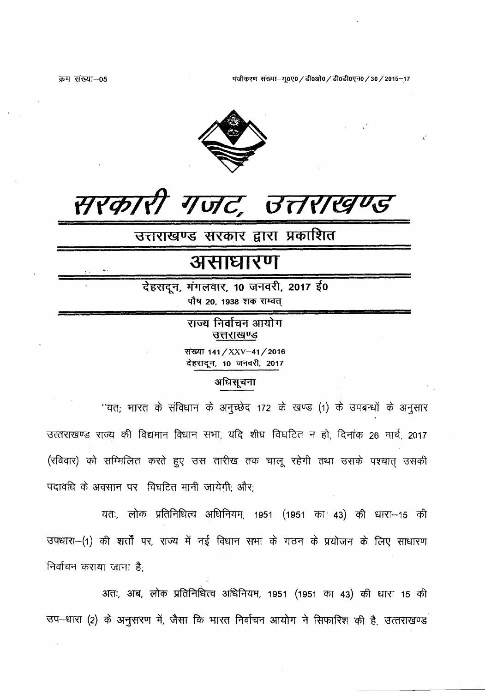क्रम संख्या-05

पंजीकरण संख्या-यू०ए० / डी०ओ० / डी०डी०एन० / 30 / 2015-17



**HYGILI** ' Tulc', BAYRALS

उत्तराखण्ड सरकार द्वारा प्रकाशित

# असाधारण

रेहरादून, मंगलवार, 10 जनवरी, 2017 ई0 पौष 20, 1938 शक सम्वत्

> राज्य निर्वाचन आयोग उत्तराखण्ड संख्या 141 / XXV-41 / 2016 देहरादून, 10 जनवरी, 2017

# अधिसूचना

''यत: भारत के संविधान के अनूच्छेद 172 के खण्ड (1) के उपबन्धों के अनुसार उत्तराखण्ड राज्य की विद्यमान विधान सभा, यदि शीघ्र विघटित न हो, दिनांक 26 मार्च, 2017 (रविवार) को सम्मिलित करते हुए उस तारीख तक चालू रहेगी तथा उसके पश्चात् उसकी पदावधि के अवसान पर विघटित मानी जायेगी: और:

यतः, लोक प्रतिनिधित्व अधिनियम, 1951 (1951 का 43) की धारा-15 की उपधारा-(1) की शर्तों पर, राज्य में नई विधान सभा के गठन के प्रयोजन के लिए साधारण निर्वाचन कराया जाना है:

अतः, अब, लोक प्रतिनिधित्व अधिनियम, 1951 (1951 का 43) की धारा 15 की उप-धारा (2) के अनुसरण में, जैसा कि भारत निर्वाचन आयोग ने सिफारिश की है, उत्तराखण्ड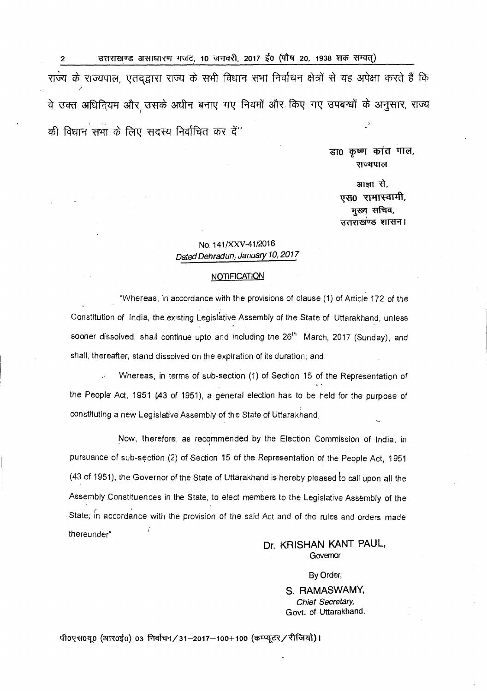2 3rtri 31 378 378 378 379 371-10 31-141, 2017 (1141) 1938 1940 314-16 राज्य के राज्यपाल, एतदद्वारा राज्य के सभी विधान सभा निर्वाचन क्षेत्रों से यह अपेक्षा करते हैं कि वे उक्त अधिनियम और उसके अधीन बनाए गए नियमों और किए गए उपबन्धों के अनुसार, राज्य की विधान सभा के लिए सदस्य निर्वाचित कर दें"

> डा0 कृष्ण कांत पाल, राज्यपाल

आज्ञा से, एस0 रामास्वामी, मुख्य सचिव, उत्तराखण्ड शासन।

## No. 141/XXV-41/2016 Dated Dehradun, January 10, 2017

#### **NOTIFICATION**

"Whereas, in accordance with the provisions of clause (1) of Article 172 of the Constitution of India, the existing Legislative Assembly of the State of Uttarakhand, unless sooner dissolved, shall continue upto and including the 26<sup>th</sup> March, 2017 (Sunday), and shall, thereafter, stand dissolved on the expiration of its duration; and

Whereas, in terms of sub-section (1) of Section 15 of the Representation of the People Act, 1951 (43 of 1951), a general election has to be held for the purpose of constituting a new Legislative Assembly of the State of Uttarakhand;

Now, therefore, as recommended by the Election Commission of India, in pursuance of sub-section (2) of Section 15 of the Representation of the People Act, 1951 (43 of 1951), the Governor of the State of Uttarakhand is hereby pleased to call upon all the Assembly Constituences in the State, to elect members to the Legislative Assembly of the State; in accordance with the provision of the said Act and of the rules and orders made thereunder"

### Dr. KRISHAN KANT PAUL, **Governor**

#### By Order,

S. RAMASWAMY, Chief Secretary, Govt. of Uttarakhand.

पी0एस0यू0 (आर0ई0) 03 निर्वाचन/31-2017-100+100 (कम्प्यूटर/रीजियो)।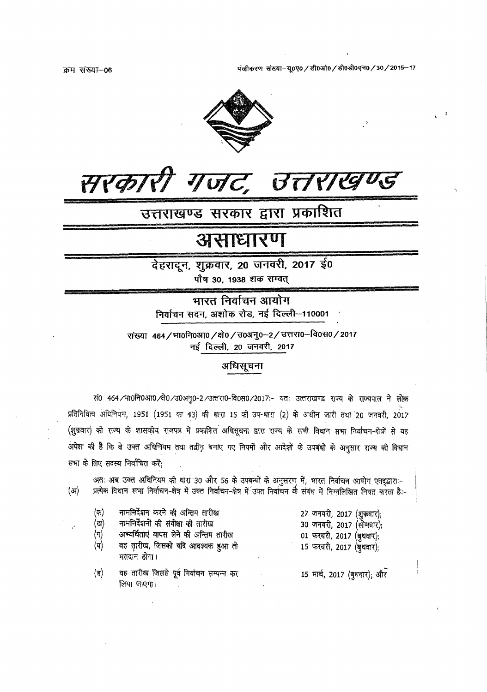क्रम संख्या-06

पंजीकरण संख्या-यू०ए० / डी०ओ० / डी०डी०एन० / 30 / 2015-17



# सरकारी गजट, उत्तराखण्ड

# उत्तराखण्ड सरकार द्वारा प्रकाशित

# असाधारण

देहरादून, शुक्रवार, 20 जनवरी, 2017 ई0

पौष 30, 1938 शक सम्वत्

भारत निर्वाचन आयोग निर्वाचन सदन, अशोक रोड, नई दिल्ली-110001

संख्या 464/भा0नि0आ0/क्षे0/उ0अनु0-2/उत्तरा0-वि0स0/2017 नई दिल्ली, 20 जनवरी, 2017

## अधिसूचना

सं0 464/भा0नि0आ0/क्षे0/उ0अनु0-2/उत्तरा0-वि0स0/2017 :- यतः उत्तराखण्ड राज्य के राज्यपाल ने लोक प्रतिनिधित्व अधिनियम, 1951 (1951 का 43) की धारा 15 की उप-धारा (2) के अधीन जारी तथा 20 जनवरी, 2017 (शुक्रवार) को राज्य के शासकीय राजपत्र में प्रकाशित अधिसूचना द्वारा राज्य के सभी विधान सभा निर्वाचन-क्षेत्रों से यह अपेक्षा की है कि वे उक्त अधिनियम तथा तद्वीन बनाए गए नियमों और आदेशों के उपबंधो के अनुसार राज्य की विधान सभा के लिए सदस्य निर्वाचित करें;

अतः अब उक्त अधिनियम की धारा 30 और 56 के उपबन्धों के अनुसरण में, भारत निर्वाचन आयोग एतद्द्वाराः-प्रत्येक विधान सभा निर्वाचन-क्षेत्र में उक्त निर्वाचन-क्षेत्र में उक्त निर्वाचन की संबंध में निम्नलिखित नियत करता है:- $(\mathfrak{A})$ 

| (क)<br>(ख)<br>(ग)<br>(घ) - | नामनिर्देशन करने की अन्तिम तारीख<br>नामनिर्देशनों की संवीक्षा की तारीख<br>अभ्यर्थिताएं वापस लेने की अन्तिम तारीख<br>वह तारीख, जिसको यदि आवश्यक हुआ तो<br>मतदान होगा। | 27 जनवरी, 2017 (शुक्रवार);<br>30 जनवरी, 2017 (सोमवार);<br>01 फरवरी, 2017 (बुधवार);<br>15 फरवरी, 2017 (बुधवार); |
|----------------------------|----------------------------------------------------------------------------------------------------------------------------------------------------------------------|----------------------------------------------------------------------------------------------------------------|
| (ड)                        | वह तारीख जिससे पूर्व निर्वाचन सम्पन्न कर<br>लिया जाएगा।                                                                                                              | 15 मार्च, 2017 (बुधवार); और                                                                                    |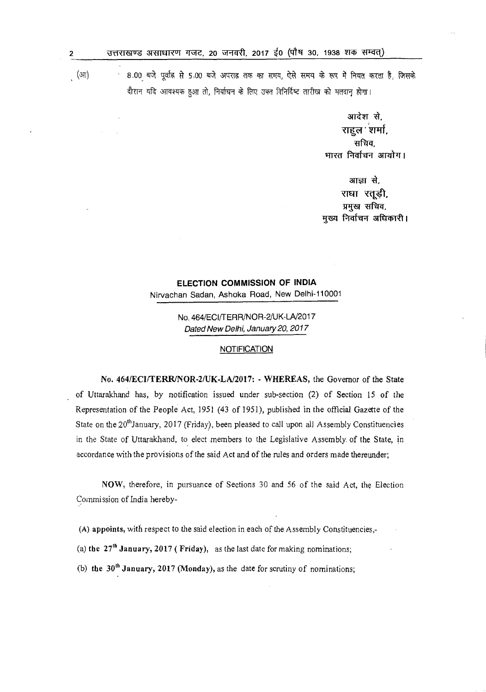् (आ) 8.00 बजे पूर्वाह्न से 5.00 बजे अपराह्न तक का समय, ऐसे समय के रूप में नियत करता है, जिसके वौरान यदि आवश्यक हुआ तो, निर्याचन के लिए उक्त विनिर्दिष्ट तारीख को मतदान होगा।

> आदेश से. राहुल शर्मा, सचिव, भारत निर्वाचन आयोग।

आज्ञा से, राधा रतूड़ी, प्रमुख सचिव, मुख्य निर्वाचन अधिकारी।

# **ELECTION COMMISSION OF INDIA**  Nirvachan Sadan, Ashoka Road, New Delhi-110001

No. 464/ECl/TERR/NOR-2/UK-LA/2017 Dated New Delhi, January 20, 2017

#### **NOTIFICATION**

No. 464/ECI/TERR/NOR-2/UK-LA/2017: - WHEREAS, the Governor of the State of Uttarakhand has, by notification issued under sub-section (2) of Section 15 of the Representation of the People Act, 1951 (43 of 1951), published in the official Gazette of the State on the 20<sup>th</sup>January, 2017 (Friday), been pleased to call upon all Assembly Constituencies in the State of Uttarakhand, to elect members to the Legislative Assembly of the State, in accordance with the provisions of the said Act and of the rules and orders made thereunder;

NOW, therefore, in pursuance of Sections 30 and 56 of the said Act, the Election Commission of India hereby-

(A) appoints, with respect to the said election in each of the Assembly Constituencies,-

(a) the  $27<sup>th</sup>$  January, 2017 (Friday), as the last date for making nominations;

(b) the  $30<sup>th</sup> January, 2017 (Monday)$ , as the date for scrutiny of nominations;